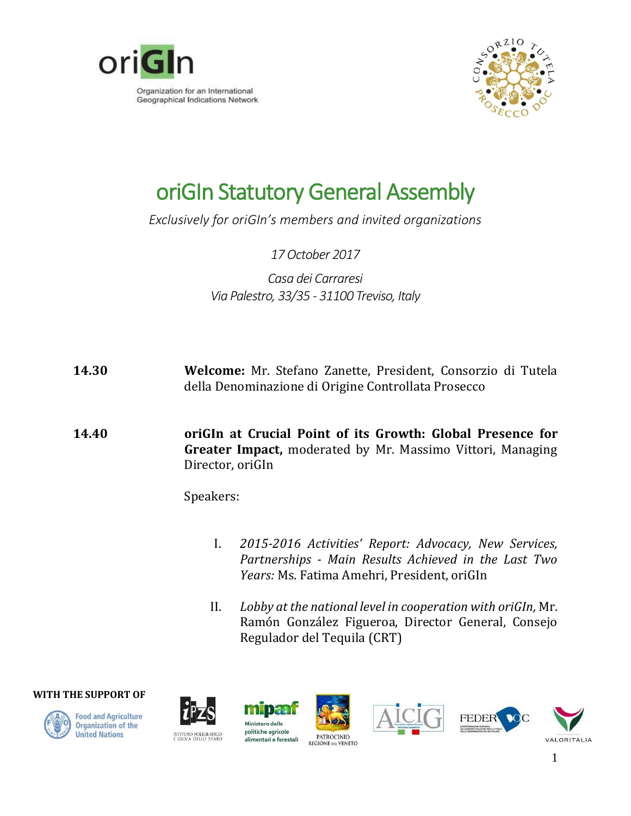



## oriGIn Statutory General Assembly

*Exclusively for oriGIn's members and invited organizations*

*17October 2017*

*Casa dei Carraresi Via Palestro, 33/35 - 31100 Treviso, Italy*

- **14.30 Welcome:** Mr. Stefano Zanette, President, Consorzio di Tutela della Denominazione di Origine Controllata Prosecco
- **14.40 oriGIn at Crucial Point of its Growth: Global Presence for Greater Impact,** moderated by Mr. Massimo Vittori, Managing Director, oriGIn

Speakers:

- I. *2015-2016 Activities' Report: Advocacy, New Services, Partnerships - Main Results Achieved in the Last Two Years:* Ms. Fatima Amehri, President, oriGIn
- II. *Lobby at the national level in cooperation with oriGIn,* Mr. Ramón González Figueroa, Director General, Consejo Regulador del Tequila (CRT)

**WITH THE SUPPORT OF**







**MOTO** Ministero delle politiche agricole alimentari e forestali







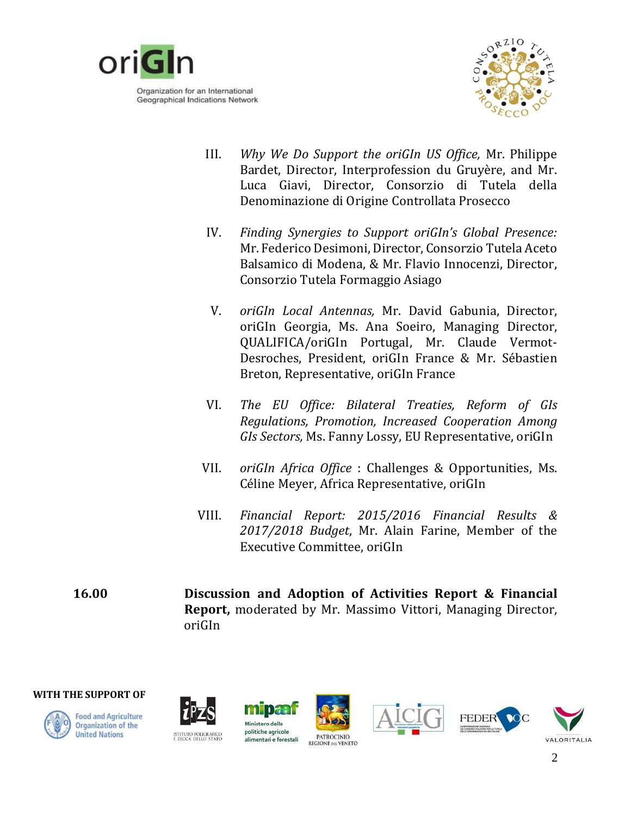

Geographical Indications Network



- III. *Why We Do Support the oriGIn US Office,* Mr. Philippe Bardet, Director, Interprofession du Gruyère, and Mr. Luca Giavi, Director, Consorzio di Tutela della Denominazione di Origine Controllata Prosecco
- IV. *Finding Synergies to Support oriGIn's Global Presence:*  Mr. Federico Desimoni, Director, Consorzio Tutela Aceto Balsamico di Modena, & Mr. Flavio Innocenzi, Director, Consorzio Tutela Formaggio Asiago
- V. *oriGIn Local Antennas,* Mr. David Gabunia, Director, oriGIn Georgia, Ms. Ana Soeiro, Managing Director, QUALIFICA/oriGIn Portugal, Mr. Claude Vermot-Desroches, President, oriGIn France & Mr. Sébastien Breton, Representative, oriGIn France
- VI. *The EU Office: Bilateral Treaties, Reform of GIs Regulations, Promotion, Increased Cooperation Among GIs Sectors,* Ms. Fanny Lossy, EU Representative, oriGIn
- VII. *oriGIn Africa Office* : Challenges & Opportunities, Ms. Céline Meyer, Africa Representative, oriGIn
- VIII. *Financial Report: 2015/2016 Financial Results & 2017/2018 Budget*, Mr. Alain Farine, Member of the Executive Committee, oriGIn
- **16.00 Discussion and Adoption of Activities Report & Financial Report,** moderated by Mr. Massimo Vittori, Managing Director, oriGIn

**WITH THE SUPPORT OF**



**Food and Agriculture** Organization of the **United Nations** 



mbaa Ministero delle politiche agricole alimentari e forestali